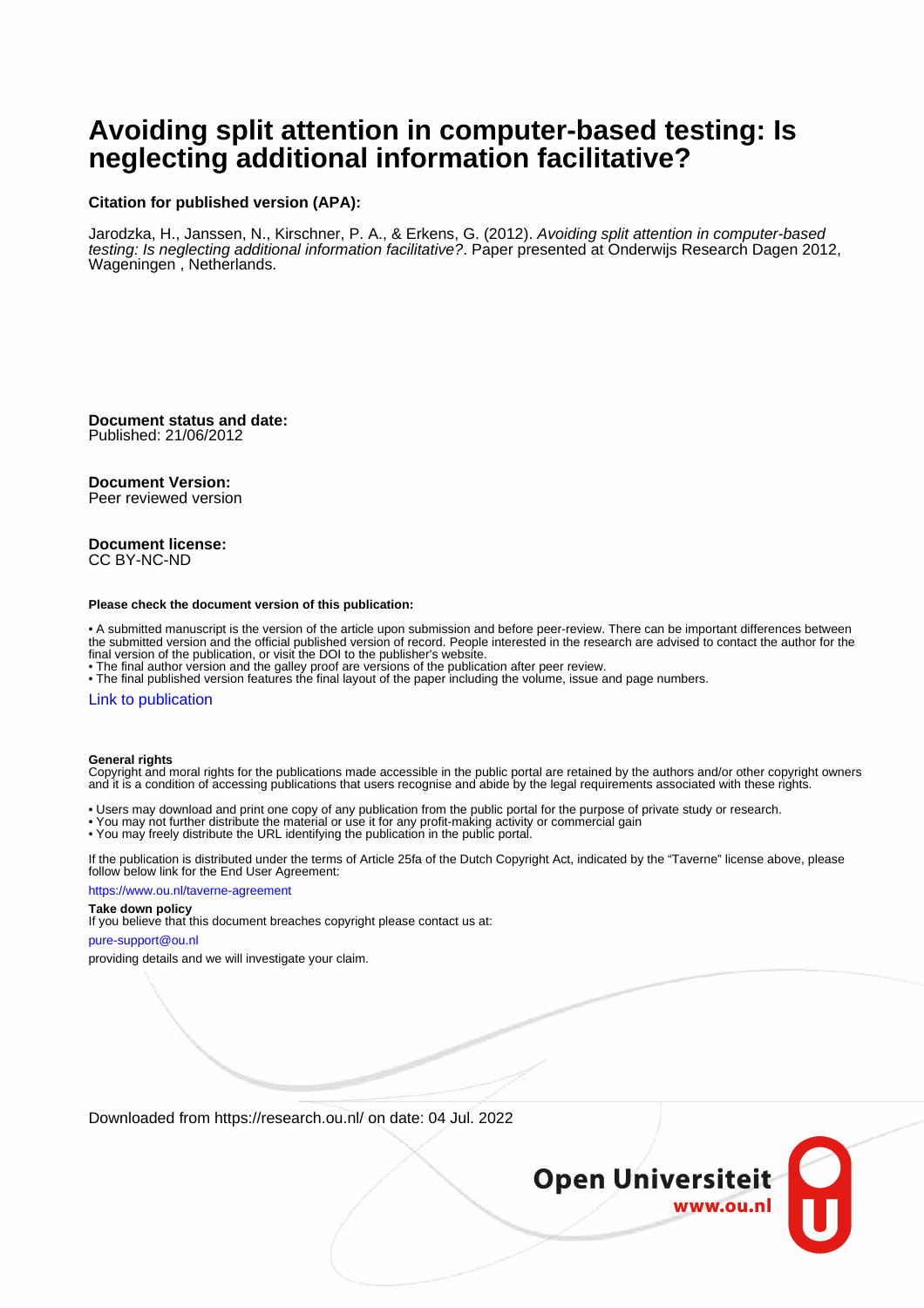# **Avoiding split attention in computer-based testing: Is neglecting additional information facilitative?**

# **Citation for published version (APA):**

Jarodzka, H., Janssen, N., Kirschner, P. A., & Erkens, G. (2012). Avoiding split attention in computer-based testing: Is neglecting additional information facilitative?. Paper presented at Onderwijs Research Dagen 2012, Wageningen , Netherlands.

**Document status and date:** Published: 21/06/2012

### **Document Version:**

Peer reviewed version

### **Document license:** CC BY-NC-ND

#### **Please check the document version of this publication:**

• A submitted manuscript is the version of the article upon submission and before peer-review. There can be important differences between the submitted version and the official published version of record. People interested in the research are advised to contact the author for the final version of the publication, or visit the DOI to the publisher's website.

• The final author version and the galley proof are versions of the publication after peer review.

• The final published version features the final layout of the paper including the volume, issue and page numbers.

### [Link to publication](https://research.ou.nl/en/publications/c3291856-809f-47d6-ae72-c7902f3e7217)

### **General rights**

Copyright and moral rights for the publications made accessible in the public portal are retained by the authors and/or other copyright owners and it is a condition of accessing publications that users recognise and abide by the legal requirements associated with these rights.

- Users may download and print one copy of any publication from the public portal for the purpose of private study or research.
- You may not further distribute the material or use it for any profit-making activity or commercial gain
- You may freely distribute the URL identifying the publication in the public portal.

If the publication is distributed under the terms of Article 25fa of the Dutch Copyright Act, indicated by the "Taverne" license above, please follow below link for the End User Agreement:

#### https://www.ou.nl/taverne-agreement

# **Take down policy**

If you believe that this document breaches copyright please contact us at:

### pure-support@ou.nl

providing details and we will investigate your claim.

Downloaded from https://research.ou.nl/ on date: 04 Jul. 2022

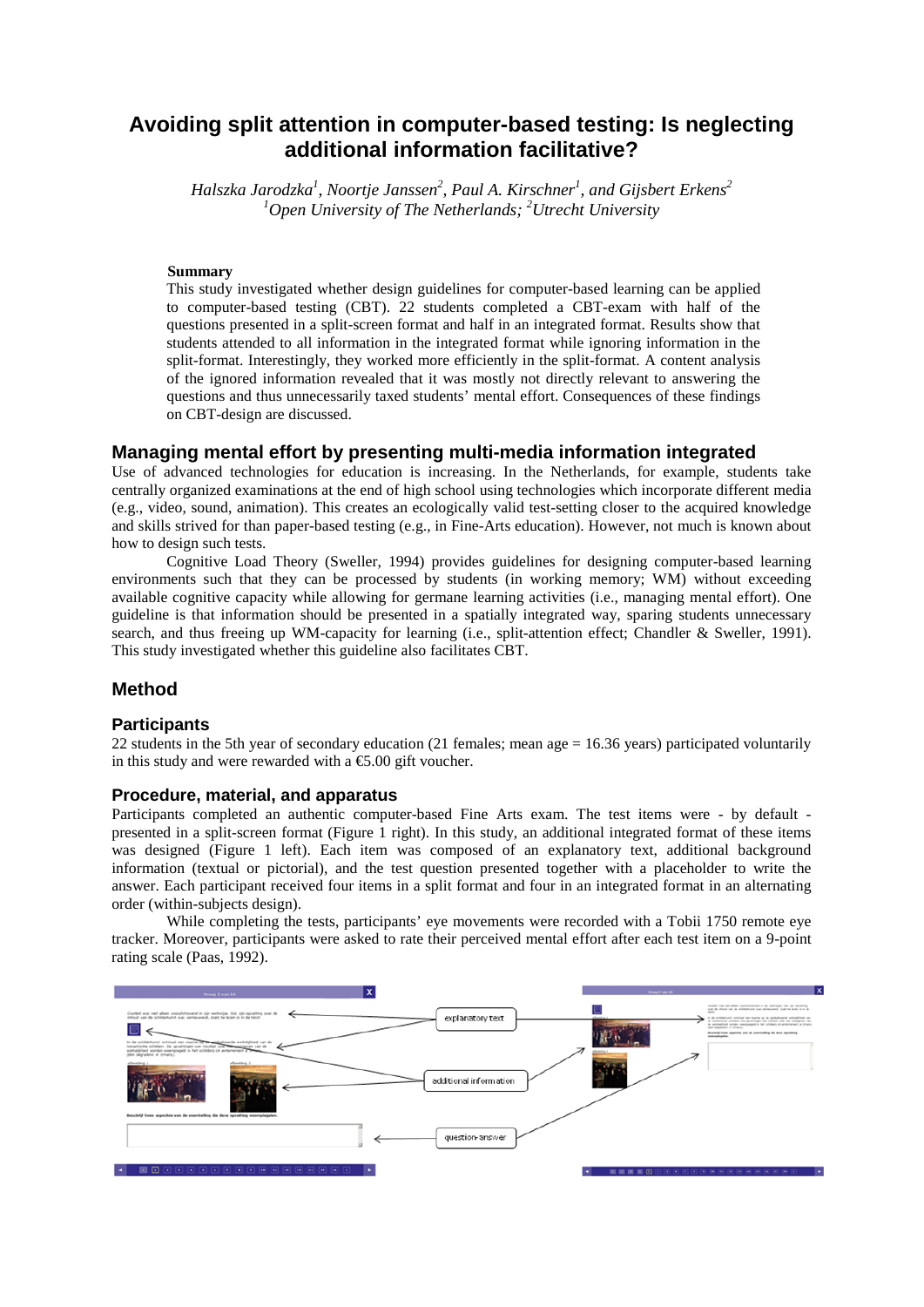# **Avoiding split attention in computer-based testing: Is neglecting additional information facilitative?**

*Halszka Jarodzka<sup>1</sup> , Noortje Janssen2 , Paul A. Kirschner<sup>1</sup> , and Gijsbert Erkens<sup>2</sup> 1 Open University of The Netherlands; 2 Utrecht University*

# **Summary**

This study investigated whether design guidelines for computer-based learning can be applied to computer-based testing (CBT). 22 students completed a CBT-exam with half of the questions presented in a split-screen format and half in an integrated format. Results show that students attended to all information in the integrated format while ignoring information in the split-format. Interestingly, they worked more efficiently in the split-format. A content analysis of the ignored information revealed that it was mostly not directly relevant to answering the questions and thus unnecessarily taxed students' mental effort. Consequences of these findings on CBT-design are discussed.

# **Managing mental effort by presenting multi-media information integrated**

Use of advanced technologies for education is increasing. In the Netherlands, for example, students take centrally organized examinations at the end of high school using technologies which incorporate different media (e.g., video, sound, animation). This creates an ecologically valid test-setting closer to the acquired knowledge and skills strived for than paper-based testing (e.g., in Fine-Arts education). However, not much is known about how to design such tests.

Cognitive Load Theory (Sweller, 1994) provides guidelines for designing computer-based learning environments such that they can be processed by students (in working memory; WM) without exceeding available cognitive capacity while allowing for germane learning activities (i.e., managing mental effort). One guideline is that information should be presented in a spatially integrated way, sparing students unnecessary search, and thus freeing up WM-capacity for learning (i.e., split-attention effect; Chandler & Sweller, 1991). This study investigated whether this guideline also facilitates CBT.

# **Method**

### **Participants**

22 students in the 5th year of secondary education (21 females; mean age = 16.36 years) participated voluntarily in this study and were rewarded with a  $\epsilon$ 5.00 gift voucher.

# **Procedure, material, and apparatus**

Participants completed an authentic computer-based Fine Arts exam. The test items were - by default presented in a split-screen format (Figure 1 right). In this study, an additional integrated format of these items was designed (Figure 1 left). Each item was composed of an explanatory text, additional background information (textual or pictorial), and the test question presented together with a placeholder to write the answer. Each participant received four items in a split format and four in an integrated format in an alternating order (within-subjects design).

While completing the tests, participants' eye movements were recorded with a Tobii 1750 remote eye tracker. Moreover, participants were asked to rate their perceived mental effort after each test item on a 9-point rating scale (Paas, 1992).